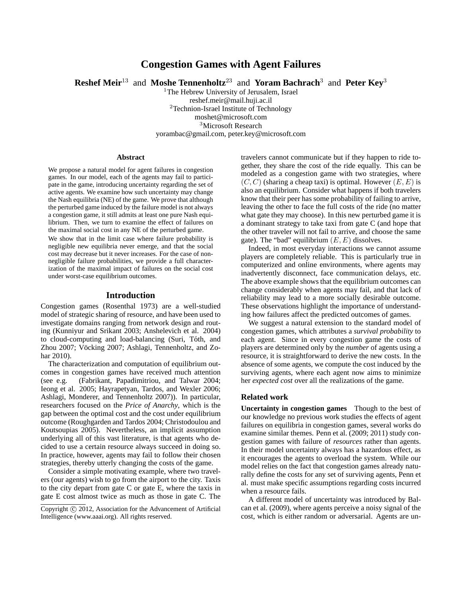# **Congestion Games with Agent Failures**

**Reshef Meir**<sup>13</sup> and **Moshe Tennenholtz**<sup>23</sup> and **Yoram Bachrach**<sup>3</sup> and **Peter Key**<sup>3</sup>

<sup>1</sup>The Hebrew University of Jerusalem, Israel

reshef.meir@mail.huji.ac.il <sup>2</sup>Technion-Israel Institute of Technology moshet@microsoft.com <sup>3</sup>Microsoft Research yorambac@gmail.com, peter.key@microsoft.com

#### **Abstract**

We propose a natural model for agent failures in congestion games. In our model, each of the agents may fail to participate in the game, introducing uncertainty regarding the set of active agents. We examine how such uncertainty may change the Nash equilibria (NE) of the game. We prove that although the perturbed game induced by the failure model is not always a congestion game, it still admits at least one pure Nash equilibrium. Then, we turn to examine the effect of failures on the maximal social cost in any NE of the perturbed game.

We show that in the limit case where failure probability is negligible new equilibria never emerge, and that the social cost may decrease but it never increases. For the case of nonnegligible failure probabilities, we provide a full characterization of the maximal impact of failures on the social cost under worst-case equilibrium outcomes.

## **Introduction**

Congestion games (Rosenthal 1973) are a well-studied model of strategic sharing of resource, and have been used to investigate domains ranging from network design and routing (Kunniyur and Srikant 2003; Anshelevich et al. 2004) to cloud-computing and load-balancing (Suri, Toth, and ´ Zhou 2007; Vöcking 2007; Ashlagi, Tennenholtz, and Zohar 2010).

The characterization and computation of equilibrium outcomes in congestion games have received much attention (see e.g. (Fabrikant, Papadimitriou, and Talwar 2004; Ieong et al. 2005; Hayrapetyan, Tardos, and Wexler 2006; Ashlagi, Monderer, and Tennenholtz 2007)). In particular, researchers focused on the *Price of Anarchy*, which is the gap between the optimal cost and the cost under equilibrium outcome (Roughgarden and Tardos 2004; Christodoulou and Koutsoupias 2005). Nevertheless, an implicit assumption underlying all of this vast literature, is that agents who decided to use a certain resource always succeed in doing so. In practice, however, agents may fail to follow their chosen strategies, thereby utterly changing the costs of the game.

Consider a simple motivating example, where two travelers (our agents) wish to go from the airport to the city. Taxis to the city depart from gate C or gate E, where the taxis in gate E cost almost twice as much as those in gate C. The travelers cannot communicate but if they happen to ride together, they share the cost of the ride equally. This can be modeled as a congestion game with two strategies, where  $(C, C)$  (sharing a cheap taxi) is optimal. However  $(E, E)$  is also an equilibrium. Consider what happens if both travelers know that their peer has some probability of failing to arrive, leaving the other to face the full costs of the ride (no matter what gate they may choose). In this new perturbed game it is a dominant strategy to take taxi from gate C (and hope that the other traveler will not fail to arrive, and choose the same gate). The "bad" equilibrium  $(E, E)$  dissolves.

Indeed, in most everyday interactions we cannot assume players are completely reliable. This is particularly true in computerized and online environments, where agents may inadvertently disconnect, face communication delays, etc. The above example shows that the equilibrium outcomes can change considerably when agents may fail, and that lack of reliability may lead to a more socially desirable outcome. These observations highlight the importance of understanding how failures affect the predicted outcomes of games.

We suggest a natural extension to the standard model of congestion games, which attributes a *survival probability* to each agent. Since in every congestion game the costs of players are determined only by the *number* of agents using a resource, it is straightforward to derive the new costs. In the absence of some agents, we compute the cost induced by the surviving agents, where each agent now aims to minimize her *expected cost* over all the realizations of the game.

## **Related work**

**Uncertainty in congestion games** Though to the best of our knowledge no previous work studies the effects of agent failures on equilibria in congestion games, several works do examine similar themes. Penn et al. (2009; 2011) study congestion games with failure of *resources* rather than agents. In their model uncertainty always has a hazardous effect, as it encourages the agents to overload the system. While our model relies on the fact that congestion games already naturally define the costs for any set of surviving agents, Penn et al. must make specific assumptions regarding costs incurred when a resource fails.

A different model of uncertainty was introduced by Balcan et al. (2009), where agents perceive a noisy signal of the cost, which is either random or adversarial. Agents are un-

Copyright (c) 2012, Association for the Advancement of Artificial Intelligence (www.aaai.org). All rights reserved.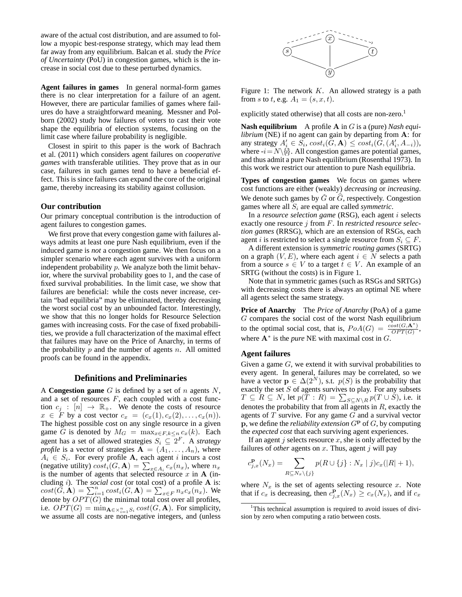aware of the actual cost distribution, and are assumed to follow a myopic best-response strategy, which may lead them far away from any equilibrium. Balcan et al. study the *Price of Uncertainty* (PoU) in congestion games, which is the increase in social cost due to these perturbed dynamics.

**Agent failures in games** In general normal-form games there is no clear interpretation for a failure of an agent. However, there are particular families of games where failures do have a straightforward meaning. Messner and Polborn (2002) study how failures of voters to cast their vote shape the equilibria of election systems, focusing on the limit case where failure probability is negligible.

Closest in spirit to this paper is the work of Bachrach et al. (2011) which considers agent failures on *cooperative games* with transferable utilities. They prove that as in our case, failures in such games tend to have a beneficial effect. This is since failures can expand the core of the original game, thereby increasing its stability against collusion.

### **Our contribution**

Our primary conceptual contribution is the introduction of agent failures to congestion games.

We first prove that every congestion game with failures always admits at least one pure Nash equilibrium, even if the induced game is *not* a congestion game. We then focus on a simpler scenario where each agent survives with a uniform independent probability  $p$ . We analyze both the limit behavior, where the survival probability goes to 1, and the case of fixed survival probabilities. In the limit case, we show that failures are beneficial: while the costs never increase, certain "bad equilibria" may be eliminated, thereby decreasing the worst social cost by an unbounded factor. Interestingly, we show that this no longer holds for Resource Selection games with increasing costs. For the case of fixed probabilities, we provide a full characterization of the maximal effect that failures may have on the Price of Anarchy, in terms of the probability  $p$  and the number of agents  $n$ . All omitted proofs can be found in the appendix.

### **Definitions and Preliminaries**

A **Congestion game** G is defined by a set of n agents N, and a set of resources  $F$ , each coupled with a cost function  $c_i$ :  $[n] \rightarrow \mathbb{R}_+$ . We denote the costs of resource  $x \in F$  by a cost vector  $c_x = (c_x(1), c_x(2), \ldots, c_x(n)).$ The highest possible cost on any single resource in a given game G is denoted by  $M_G = \max_{x \in F, k \le n} c_x(k)$ . Each agent has a set of allowed strategies  $S_i \subseteq 2^F$ . A *strategy profile* is a vector of strategies  $A = (A_1, \ldots, A_n)$ , where  $A_i \in S_i$ . For every profile **A**, each agent i incurs a cost (negative utility)  $cost_i(G, \mathbf{A}) = \sum_{x \in A_i} c_x(n_x)$ , where  $n_x$ is the number of agents that selected resource  $x$  in  $A$  (including i). The *social cost* (or total cost) of a profile A is:  $cost(\breve{G}, \breve{\mathbf{A}}) = \sum_{i=1}^{n} cost_i(\breve{G}, \mathbf{A}) = \sum_{x \in F}^{'} n_x c_x(n_x)$ . We denote by  $OPT(G)$  the minimal total cost over all profiles, i.e.  $OPT(G) = \min_{\mathbf{A} \in \times_{i=1}^n S_i} cost(G, \mathbf{A})$ . For simplicity, we assume all costs are non-negative integers, and (unless



Figure 1: The network  $K$ . An allowed strategy is a path from s to t, e.g.  $A_1 = (s, x, t)$ .

explicitly stated otherwise) that all costs are non-zero.<sup>1</sup>

**Nash equilibrium** A profile A in G is a (pure) *Nash equilibrium* (NE) if no agent can gain by departing from **A**: for any strategy  $A'_i \in S_i$ ,  $cost_i(G, \mathbf{A}) \leq cost_i(G, (A'_i, A_{-i})),$ where  $-i=N\{\hat{i}\}$ . All congestion games are potential games, and thus admit a pure Nash equilibrium (Rosenthal 1973). In this work we restrict our attention to pure Nash equilibria.

**Types of congestion games** We focus on games where cost functions are either (weakly) *decreasing* or *increasing*. We denote such games by  $\check{G}$  or  $\hat{G}$ , respectively. Congestion games where all  $S_i$  are equal are called *symmetric*.

In a *resource selection game* (RSG), each agent i selects exactly one resource j from F. In *restricted resource selection games* (RRSG), which are an extension of RSGs, each agent *i* is restricted to select a single resource from  $S_i \subseteq F$ .

A different extension is *symmetric routing games* (SRTG) on a graph  $(V, E)$ , where each agent  $i \in N$  selects a path from a source  $s \in V$  to a target  $t \in V$ . An example of an SRTG (without the costs) is in Figure 1.

Note that in symmetric games (such as RSGs and SRTGs) with decreasing costs there is always an optimal NE where all agents select the same strategy.

**Price of Anarchy** The *Price of Anarchy* (PoA) of a game G compares the social cost of the worst Nash equilibrium to the optimal social cost, that is,  $PoA(G) = \frac{cost(G, A^*)}{OPT(G)}$  $\frac{sqrt(G, A))}{OPT(G)},$ where  $A^*$  is the *pure* NE with maximal cost in  $G$ .

### **Agent failures**

Given a game  $G$ , we extend it with survival probabilities to every agent. In general, failures may be correlated, so we have a vector  $p \in \Delta(2^N)$ , s.t.  $p(S)$  is the probability that exactly the set  $S$  of agents survives to play. For any subsets  $T \subseteq R \subseteq N$ , let  $p(T : R) = \sum_{S \subseteq N \setminus R} p(T \cup S)$ , i.e. it denotes the probability that from all agents in  $R$ , exactly the agents of  $T$  survive. For any game  $G$  and a survival vector p, we define the *reliability extension*  $G<sup>p</sup>$  of  $G$ , by computing the *expected cost* that each surviving agent experiences.

If an agent j selects resource  $x$ , she is only affected by the failures of *other* agents on  $x$ . Thus, agent  $j$  will pay

$$
c_{j,x}^{\mathbf{p}}(N_x) = \sum_{R \subseteq N_x \setminus \{j\}} p(R \cup \{j\} : N_x | j) c_x(|R|+1),
$$

where  $N_x$  is the set of agents selecting resource x. Note that if  $c_x$  is decreasing, then  $c_{j,x}^{\mathbf{p}}(N_x) \geq c_x(N_x)$ , and if  $c_x$ 

<sup>&</sup>lt;sup>1</sup>This technical assumption is required to avoid issues of division by zero when computing a ratio between costs.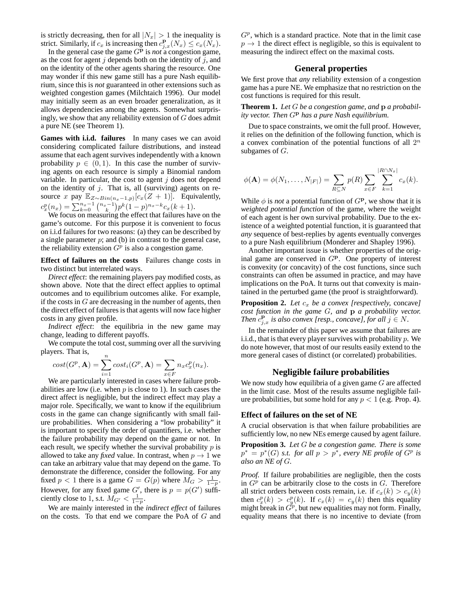is strictly decreasing, then for all  $|N_x| > 1$  the inequality is strict. Similarly, if  $c_x$  is increasing then  $c_{j,x}^{\mathbf{p}}(N_x) \leq c_x(N_x)$ .

In the general case the game  $G<sup>p</sup>$  is *not* a congestion game, as the cost for agent  $j$  depends both on the identity of  $j$ , and on the identity of the other agents sharing the resource. One may wonder if this new game still has a pure Nash equilibrium, since this is *not* guaranteed in other extensions such as weighted congestion games (Milchtaich 1996). Our model may initially seem as an even broader generalization, as it allows dependencies among the agents. Somewhat surprisingly, we show that any reliability extension of  $G$  does admit a pure NE (see Theorem 1).

**Games with i.i.d. failures** In many cases we can avoid considering complicated failure distributions, and instead assume that each agent survives independently with a known probability  $p \in (0, 1)$ . In this case the number of surviving agents on each resource is simply a Binomial random variable. In particular, the cost to agent  $j$  does not depend on the identity of  $j$ . That is, all (surviving) agents on resource x pay  $\mathbb{E}_{Z \sim Bin(n_x-1,p)}[c_x(Z+1)]$ . Equivalently,  $c_x^p(n_x) = \sum_{k=0}^{n_x-1} {n_x-1 \choose k} p^k (1-p)^{n_x-k} c_x(k+1).$ 

We focus on measuring the effect that failures have on the game's outcome. For this purpose it is convenient to focus on i.i.d failures for two reasons: (a) they can be described by a single parameter  $p$ ; and (b) in contrast to the general case, the reliability extension  $G<sup>p</sup>$  is also a congestion game.

**Effect of failures on the costs** Failures change costs in two distinct but interrelated ways.

*Direct effect*: the remaining players pay modified costs, as shown above. Note that the direct effect applies to optimal outcomes and to equilibrium outcomes alike. For example, if the costs in  $G$  are decreasing in the number of agents, then the direct effect of failures is that agents will now face higher costs in any given profile.

*Indirect effect*: the equilibria in the new game may change, leading to different payoffs.

We compute the total cost, summing over all the surviving players. That is,

$$
cost(Gp, \mathbf{A}) = \sum_{i=1}^{n} cost_i(Gp, \mathbf{A}) = \sum_{x \in F} n_x c_x^p(n_x).
$$

We are particularly interested in cases where failure probabilities are low (i.e. when  $p$  is close to 1). In such cases the direct affect is negligible, but the indirect effect may play a major role. Specifically, we want to know if the equilibrium costs in the game can change significantly with small failure probabilities. When considering a "low probability" it is important to specify the order of quantifiers, i.e. whether the failure probability may depend on the game or not. In each result, we specify whether the survival probability  $p$  is allowed to take any *fixed* value. In contrast, when  $p \to 1$  we can take an arbitrary value that may depend on the game. To demonstrate the difference, consider the following. For any fixed  $p < 1$  there is a game  $G = G(p)$  where  $M_G > \frac{1}{1-p}$ . However, for any fixed game  $G'$ , there is  $p = p(G')$  sufficiently close to 1, s.t.  $\widetilde{M_{G'}} < \frac{1}{1-p}$ .

We are mainly interested in the *indirect effect* of failures on the costs. To that end we compare the PoA of G and

 $G<sup>p</sup>$ , which is a standard practice. Note that in the limit case  $p \rightarrow 1$  the direct effect is negligible, so this is equivalent to measuring the indirect effect on the maximal costs.

## **General properties**

We first prove that *any* reliability extension of a congestion game has a pure NE. We emphasize that no restriction on the cost functions is required for this result.

**Theorem 1.** *Let* G *be a congestion game, and* p *a probability vector. Then* G<sup>p</sup> *has a pure Nash equilibrium.*

Due to space constraints, we omit the full proof. However, it relies on the definition of the following function, which is a convex combination of the potential functions of all  $2^n$ subgames of G.

$$
\phi(\mathbf{A}) = \phi(N_1, \dots, N_{|F|}) = \sum_{R \subseteq N} p(R) \sum_{x \in F} \sum_{k=1}^{|R \cap N_x|} c_x(k).
$$

While  $\phi$  is *not* a potential function of  $G<sup>p</sup>$ , we show that it is *weighted potential function* of the game, where the weight of each agent is her own survival probability. Due to the existence of a weighted potential function, it is guaranteed that *any* sequence of best-replies by agents eventually converges to a pure Nash equilibrium (Monderer and Shapley 1996).

Another important issue is whether properties of the original game are conserved in  $G<sup>p</sup>$ . One property of interest is convexity (or concavity) of the cost functions, since such constraints can often be assumed in practice, and may have implications on the PoA. It turns out that convexity is maintained in the perturbed game (the proof is straightforward).

**Proposition 2.** Let  $c_x$  be a convex [respectively, concave] *cost function in the game* G*, and* p *a probability vector. Then*  $c_{j,x}^{\mathbf{p}}$  *is also convex [resp., concave], for all*  $j \in N$ .

In the remainder of this paper we assume that failures are i.i.d., that is that every player survives with probability  $p$ . We do note however, that most of our results easily extend to the more general cases of distinct (or correlated) probabilities.

### **Negligible failure probabilities**

We now study how equilibria of a given game  $G$  are affected in the limit case. Most of the results assume negligible failure probabilities, but some hold for any  $p < 1$  (e.g. Prop. 4).

#### **Effect of failures on the set of NE**

A crucial observation is that when failure probabilities are sufficiently low, no new NEs emerge caused by agent failure.

**Proposition 3.** *Let* G *be a congestion game. There is some*  $p^* = p^*(G)$  *s.t. for all*  $p > p^*$ , every NE profile of  $G^p$  is *also an NE of* G*.*

*Proof.* If failure probabilities are negligible, then the costs in  $G<sup>p</sup>$  can be arbitrarily close to the costs in  $G$ . Therefore all strict orders between costs remain, i.e. if  $c_x(k) > c_y(k)$ then  $c_x^p(k) > c_y^p(k)$ . If  $c_x(k) = c_y(k)$  then this equality might break in  $\ddot{G}^p$ , but new equalities may not form. Finally, equality means that there is no incentive to deviate (from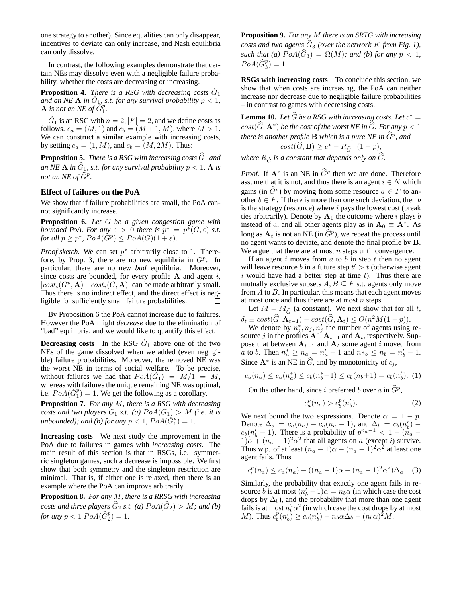one strategy to another). Since equalities can only disappear, incentives to deviate can only increase, and Nash equilibria can only dissolve. П

In contrast, the following examples demonstrate that certain NEs may dissolve even with a negligible failure probability, whether the costs are decreasing or increasing.

**Proposition 4.** *There is a RSG with decreasing costs*  $\check{G}_1$ and an NE **A** in  $\check{G}_1$ , s.t. for any survival probability  $p < 1$ , **A** is not an NE of  $\tilde{G}_1^p$ .

 $\check{G}_1$  is an RSG with  $n = 2, |F| = 2$ , and we define costs as follows.  $c_a = (M, 1)$  and  $c_b = (M + 1, M)$ , where  $M > 1$ . We can construct a similar example with increasing costs, by setting  $c_a = (1, M)$ , and  $c_b = (M, 2M)$ . Thus:

**Proposition 5.** *There is a RSG with increasing costs*  $\widehat{G}_1$  *and an NE* **A** *in*  $\widehat{G}_1$ *, s.t. for any survival probability*  $p < 1$ *,* **A** *is not an NE of*  $\widehat{G}_1^p$ .

### **Effect of failures on the PoA**

We show that if failure probabilities are small, the PoA cannot significantly increase.

**Proposition 6.** *Let* G *be a given congestion game with bounded PoA. For any*  $\varepsilon > 0$  *there is*  $p^* = p^*(G, \varepsilon)$  *s.t. for all*  $p \ge p^*$ ,  $PoA(G^p) \le PoA(G)(1+\varepsilon)$ *.* 

*Proof sketch.* We can set  $p^*$  arbitrarily close to 1. Therefore, by Prop. 3, there are no new equilibria in  $G^p$ . In particular, there are no new *bad* equilibria. Moreover, since costs are bounded, for every profile  $A$  and agent i,  $|cost_i(G^p, A) - cost_i(G, A)|$  can be made arbitrarily small. Thus there is no indirect effect, and the direct effect is negligible for sufficiently small failure probabilities. П

By Proposition 6 the PoA cannot increase due to failures. However the PoA might *decrease* due to the elimination of "bad" equilibria, and we would like to quantify this effect.

**Decreasing costs** In the RSG  $\check{G}_1$  above one of the two NEs of the game dissolved when we added (even negligible) failure probabilities. Moreover, the removed NE was the worst NE in terms of social welfare. To be precise, without failures we had that  $PoA(\check{G}_1) = M/1 = M$ , whereas with failures the unique remaining NE was optimal, i.e.  $PoA(\check{G}_1^p) = 1$ . We get the following as a corollary,

**Proposition 7.** *For any* M*, there is a RSG with decreasing costs and two players*  $\check{G}_1$  *s.t.* (*a*)  $PoA(\check{G}_1) > M$  (*i.e. it is unbounded);* and (b) for any  $p < 1$ ,  $PoA(\check{G}_1^p) = 1$ .

**Increasing costs** We next study the improvement in the PoA due to failures in games with *increasing costs*. The main result of this section is that in RSGs, i.e. symmetric singleton games, such a decrease is impossible. We first show that both symmetry and the singleton restriction are minimal. That is, if either one is relaxed, then there is an example where the PoA can improve arbitrarily.

**Proposition 8.** *For any* M*, there is a RRSG with increasing costs and three players*  $\widehat{G}_2$  *s.t.* (*a*)  $PoA(\widehat{G}_2) > M$ *; and (b)* for any  $p < 1$   $PoA(\widehat{G}_2^p) = 1$ .

**Proposition 9.** *For any* M *there is an SRTG with increasing costs and two agents*  $\hat{G}_3$  *(over the network K from Fig. 1), such that (a)*  $PoA(\widehat{G}_3) = \Omega(M)$ *; and (b) for any*  $p < 1$ *,*  $PoA(\widehat{G}_3^p) = 1.$ 

**RSGs with increasing costs** To conclude this section, we show that when costs are increasing, the PoA can neither increase nor decrease due to negligible failure probabilities – in contrast to games with decreasing costs.

**Lemma 10.** Let  $\widehat{G}$  be a RSG with increasing costs. Let  $c^* =$  $cost(\widehat{G}, \mathbf{A^*})$  *be the cost of the worst NE in*  $\widehat{G}$ *. For any*  $p < 1$ *there is another profile*  ${\bf B}$  *which is a pure NE in*  $\widehat{G}^p$ *, and* 

$$
cost(\hat{G}, \mathbf{B}) \ge c^* - R_{\hat{G}} \cdot (1 - p),
$$

*where*  $R_{\widehat{G}}$  *is a constant that depends only on*  $\widehat{G}$ *.* 

*Proof.* If  $A^*$  is an NE in  $G^p$  then we are done. Therefore assume that it is not, and thus there is an agent  $i \in N$  which gains (in  $\widehat{G}^p$ ) by moving from some resource  $a \in F$  to another  $b \in F$ . If there is more than one such deviation, then b is the strategy (resource) where  $i$  pays the lowest cost (break ties arbitrarily). Denote by  $A_1$  the outcome where i plays b instead of a, and all other agents play as in  $A_0 \equiv \overline{A}^*$ . As long as  $A_t$  is not an NE (in  $\widehat{G}^p$ ), we repeat the process until no agent wants to deviate, and denote the final profile by B. We argue that there are at most  $n$  steps until convergence.

If an agent  $i$  moves from  $a$  to  $b$  in step  $t$  then no agent will leave resource b in a future step  $t' > t$  (otherwise agent i would have had a better step at time  $t$ ). Thus there are mutually exclusive subsets  $A, B \subseteq F$  s.t. agents only move from  $A$  to  $B$ . In particular, this means that each agent moves at most once and thus there are at most  $n$  steps.

Let  $M = M_{\hat{G}}$  (a constant). We next show that for all t,  $\delta_t \equiv cost(\hat{G}, \mathbf{A}_{t-1}) - cost(\hat{G}, \mathbf{A}_t) \leq O(n^2M(1-p)).$ 

We denote by  $n_j^*$ ,  $n_j$ ,  $n'_j$  the number of agents using resource j in the profiles  $\mathbf{A}^*$ ,  $\mathbf{A}_{t-1}$  and  $\mathbf{A}_t$ , respectively. Suppose that between  $A_{t-1}$  and  $A_t$  some agent i moved from *a* to *b*. Then  $n_a^* \ge n_a = n'_a + 1$  and  $n*_b \le n_b = n'_b - 1$ . Since  $\mathbf{A}^*$  is an NE in  $\widehat{G}$ , and by monotonicity of  $c_j$ ,

$$
c_a(n_a) \le c_a(n_a^*) \le c_b(n_b^*+1) \le c_b(n_b+1) = c_b(n_b'). \tag{1}
$$

On the other hand, since i preferred b over a in  $\widehat{G}^p$ ,

$$
c_a^p(n_a) > c_b^p(n'_b).
$$
 (2)

We next bound the two expressions. Denote  $\alpha = 1 - p$ . Denote  $\Delta_a = c_a(n_a) - c_a(n_a - 1)$ , and  $\Delta_b = c_b(n'_b)$  –  $c_b(n'_b - 1)$ . There is a probability of  $p^{n_a - 1} < 1 - (n_a - 1)$  $1)\alpha + (n_a - 1)^2 \alpha^2$  that all agents on a (except i) survive. Thus w.p. of at least  $(n_a - 1)\alpha - (n_a - 1)^2 \alpha^2$  at least one agent fails. Thus

$$
c_a^p(n_a) \le c_a(n_a) - ((n_a - 1)\alpha - (n_a - 1)^2 \alpha^2) \Delta_a.
$$
 (3)

Similarly, the probability that exactly one agent fails in resource *b* is at most  $(n'_b - 1)\alpha = n_b\alpha$  (in which case the cost drops by  $\Delta_b$ ), and the probability that more than one agent fails is at most  $n_b^2 \alpha^2$  (in which case the cost drops by at most *M*). Thus  $c_b^p(n_b')^2 \ge c_b(n_b') - n_b \alpha \Delta_b - (n_b \alpha)^2 M$ .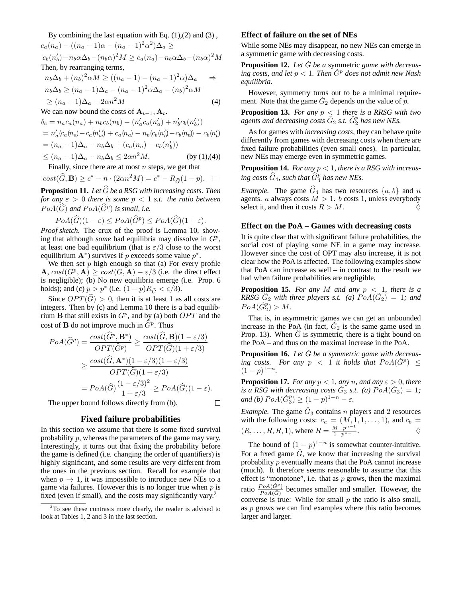By combining the last equation with Eq.  $(1)$ , $(2)$  and  $(3)$ ,  $c_a(n_a) - ((n_a - 1)\alpha - (n_a - 1)^2\alpha^2)\Delta_a \ge$  $c_b(n'_b) - n_b \alpha \Delta_b - (n_b \alpha)^2 M \ge c_a(n_a) - n_b \alpha \Delta_b - (n_b \alpha)^2 M$ Then, by rearranging terms,

$$
n_b \Delta_b + (n_b)^2 \alpha M \ge ((n_a - 1) - (n_a - 1)^2 \alpha) \Delta_a \Rightarrow
$$
  
\n
$$
n_b \Delta_b \ge (n_a - 1) \Delta_a - (n_a - 1)^2 \alpha \Delta_a - (n_b)^2 \alpha M
$$
  
\n
$$
\ge (n_a - 1) \Delta_a - 2\alpha n^2 M
$$
\n(4)

We can now bound the costs of 
$$
\mathbf{A}_{t-1}
$$
,  $\mathbf{A}_t$ .  
\n
$$
\delta_c = n_a c_a(n_a) + n_b c_b(n_b) - (n'_a c_a(n'_a) + n'_b c_b(n'_b))
$$
\n
$$
= n'_a (c_a(n_a) - c_a(n'_a)) + c_a(n_a) - n_b (c_b(n'_b) - c_b(n_b)) - c_b(n'_b)
$$
\n
$$
= (n_a - 1) \Delta_a - n_b \Delta_b + (c_a(n_a) - c_b(n'_b))
$$
\n
$$
\leq (n_a - 1) \Delta_a - n_b \Delta_b \leq 2\alpha n^2 M,
$$
 (by (1),(4))

Finally, since there are at most  $n$  steps, we get that

$$
cost(\widehat{G}, \mathbf{B}) \ge c^* - n \cdot (2\alpha n^2 M) = c^* - R_{\widehat{G}}(1 - p). \quad \Box
$$

**Proposition 11.** Let  $\widehat{G}$  be a RSG with increasing costs. Then *for any*  $\varepsilon > 0$  *there is some*  $p < 1$  *s.t. the ratio between*  $PoA(\widehat{G})$  and  $PoA(\widehat{G}^p)$  is small, i.e.

$$
PoA(\widehat{G})(1-\varepsilon) \le PoA(\widehat{G}^p) \le PoA(\widehat{G})(1+\varepsilon).
$$

*Proof sketch.* The crux of the proof is Lemma 10, showing that although *some* bad equilibria may dissolve in  $G^p$ , at least one bad equilibrium (that is  $\varepsilon/3$  close to the worst equilibrium  $\mathbf{A}^*$ ) survives if p exceeds some value  $p^*$ .

We then set  $p$  high enough so that (a) For every profile  $\mathbf{A}, \text{cost}(G^p, \mathbf{A}) \geq \text{cost}(G, \mathbf{A}) - \varepsilon/3$  (i.e. the direct effect is negligible); (b) No new equilibria emerge (i.e. Prop. 6 holds); and (c)  $p > p^*$  (i.e.  $(1-p)R_{\widehat{G}} < \varepsilon/3$ ).

Since  $OPT(\widehat{G}) > 0$ , then it is at least 1 as all costs are integers. Then by (c) and Lemma 10 there is a bad equilibrium **B** that still exists in  $G^p$ , and by (a) both  $OPT$  and the cost of **B** do not improve much in  $\widehat{G}^p$ . Thus

$$
PoA(\widehat{G}^p) = \frac{\cos t(\widehat{G}^p, \mathbf{B}^*)}{OPT(\widehat{G}^p)} \ge \frac{\cos t(\widehat{G}, \mathbf{B})(1 - \varepsilon/3)}{OPT(\widehat{G})(1 + \varepsilon/3)}
$$
  
\n
$$
\ge \frac{\cos t(\widehat{G}, \mathbf{A}^*)(1 - \varepsilon/3)(1 - \varepsilon/3)}{OPT(\widehat{G})(1 + \varepsilon/3)}
$$
  
\n
$$
= PoA(\widehat{G})\frac{(1 - \varepsilon/3)^2}{1 + \varepsilon/3} \ge PoA(\widehat{G})(1 - \varepsilon).
$$
  
\nThe upper bound follows directly from (b).

The upper bound follows directly from (b).

### **Fixed failure probabilities**

In this section we assume that there is some fixed survival probability p, whereas the parameters of the game may vary. Interestingly, it turns out that fixing the probability before the game is defined (i.e. changing the order of quantifiers) is highly significant, and some results are very different from the ones in the previous section. Recall for example that when  $p \to 1$ , it was impossible to introduce new NEs to a game via failures. However this is no longer true when  $p$  is fixed (even if small), and the costs may significantly vary.<sup>2</sup>

### **Effect of failure on the set of NEs**

While some NEs may disappear, no new NEs can emerge in a symmetric game with decreasing costs.

**Proposition 12.** Let  $\tilde{G}$  be a symmetric game with decreas*ing costs, and let*  $p < 1$ *. Then*  $\tilde{G}^p$  *does not admit new Nash equilibria.*

However, symmetry turns out to be a minimal requirement. Note that the game  $\check{G}_2$  depends on the value of  $\overline{p}$ .

**Proposition 13.** *For any*  $p < 1$  *there is a RRSG with two* agents and decreasing costs  $\check{G}_2$  s.t.  $\check{G}_2^p$  has new NEs.

As for games with *increasing costs*, they can behave quite differently from games with decreasing costs when there are fixed failure probabilities (even small ones). In particular, new NEs may emerge even in symmetric games.

**Proposition 14.** *For any* p < 1*, there is a RSG with increas*ing costs  $\widehat{G}_4$ , such that  $\widehat{G}_4^p$  has new NEs.

*Example.* The game  $\hat{G}_4$  has two resources  $\{a, b\}$  and n agents. a always costs  $M > 1$ . b costs 1, unless everybody select it, and then it costs  $R > M$ .

#### **Effect on the PoA – Games with decreasing costs**

It is quite clear that with significant failure probabilities, the social cost of playing some NE in a game may increase. However since the cost of OPT may also increase, it is not clear how the PoA is affected. The following examples show that PoA can increase as well – in contrast to the result we had when failure probabilities are negligible.

**Proposition 15.** *For any*  $M$  *and any*  $p < 1$ *, there is a RRSG*  $\check{G}_2$  *with three players s.t.* (a)  $PoA(\check{G}_2) = 1$ *; and*  $PoA(\check{G}_2^p) > M.$ 

That is, in asymmetric games we can get an unbounded increase in the PoA (in fact,  $\check{G}_2$  is the same game used in Prop. 13). When  $\check{G}$  is symmetric, there is a tight bound on the PoA – and thus on the maximal increase in the PoA.

**Proposition 16.** Let  $\tilde{G}$  be a symmetric game with decreas- $\frac{1}{2}$  *ing* costs. For any  $p \leq 1$  *it holds that*  $PoA(\check{G}^p) \leq$  $(1-p)^{1-n}$ .

**Proposition 17.** *For any*  $p < 1$ *, any n, and any*  $\varepsilon > 0$ *, there* is a RSG with decreasing costs  $\check{G}_3$  s.t. (a)  $PoA(\check{G}_3) = 1$ ; *and (b)*  $PoA(\check{G}_3^p) \ge (1-p)^{1-n} - \varepsilon$ *.* 

*Example*. The game  $\check{G}_3$  contains *n* players and 2 resources with the following costs:  $c_a = (M, 1, 1, \ldots, 1)$ , and  $c_b =$  $(R, ..., R, R, 1)$ , where  $R = \frac{M - p^{n-1}}{1 - p^{n-1}}$ .

The bound of  $(1 - p)^{1-n}$  is somewhat counter-intuitive. For a fixed game  $\tilde{G}$ , we know that increasing the survival probability p eventually means that the PoA cannot increase (much). It therefore seems reasonable to assume that this effect is "monotone", i.e. that as  $p$  grows, then the maximal ratio  $\frac{PoA(\check{G}^p)}{PoA(\check{G})}$  becomes smaller and smaller. However, the converse is true: While for small  $p$  the ratio is also small, as  $p$  grows we can find examples where this ratio becomes larger and larger.

 $2^2$ To see these contrasts more clearly, the reader is advised to look at Tables 1, 2 and 3 in the last section.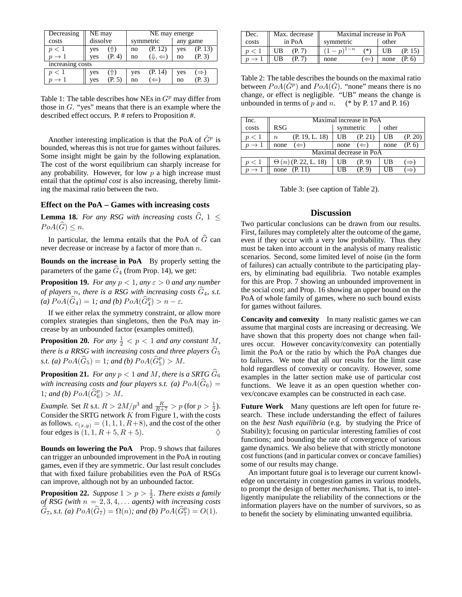| Decreasing       | NE may   |        | NE may emerge |                  |          |         |  |
|------------------|----------|--------|---------------|------------------|----------|---------|--|
| costs            | dissolve |        | symmetric     |                  | any game |         |  |
| p<1              | ves      | 仆)     | no            | (P. 12)          | yes      | (P. 13) |  |
|                  | yes      | (P, 4) | no            | (1, 4)           | no       | (P. 3)  |  |
| increasing costs |          |        |               |                  |          |         |  |
| p<1              | yes      | ገት )   | yes           | (P. 14)          | yes      | ⇒)      |  |
|                  | ves      | (P, 5) | no            | $\left( \right)$ | no       | (P. 3)  |  |

Table 1: The table describes how NEs in  $G<sup>p</sup>$  may differ from those in  $G$ . "yes" means that there is an example where the described effect occurs. P. # refers to Proposition #.

Another interesting implication is that the PoA of  $\check{G}^p$  is bounded, whereas this is not true for games without failures. Some insight might be gain by the following explanation. The cost of the worst equilibrium can sharply increase for any probability. However, for low  $p$  a high increase must entail that the *optimal cost* is also increasing, thereby limiting the maximal ratio between the two.

## **Effect on the PoA – Games with increasing costs**

**Lemma 18.** *For any RSG with increasing costs*  $\widehat{G}$ , 1  $\leq$  $PoA(G) \leq n$ .

In particular, the lemma entails that the PoA of  $\widehat{G}$  can never decrease or increase by a factor of more than n.

**Bounds on the increase in PoA** By properly setting the parameters of the game  $\hat{G}_4$  (from Prop. 14), we get:

**Proposition 19.** *For any*  $p < 1$ *, any*  $\varepsilon > 0$  *and any number of players n, there is a RSG with increasing costs*  $\widehat{G}_4$ *, s.t.* (a)  $PoA(\widehat{G}_4) = 1$ ; and (b)  $PoA(\widehat{G}_4^p) > n - \varepsilon$ .

If we either relax the symmetry constraint, or allow more complex strategies than singletons, then the PoA may increase by an unbounded factor (examples omitted).

**Proposition 20.** *For any*  $\frac{1}{2}$  < *p* < 1 *and any constant M*, *there is a RRSG with increasing costs and three players*  $G_5$ *s.t.* (a)  $PoA(\widehat{G}_5) = 1$ ; and (b)  $PoA(\widehat{G}_5^p) > M$ .

**Proposition 21.** *For any*  $p < 1$  *and* M, *there is a SRTG*  $\widehat{G}_6$ *with increasing costs and four players s.t.* (a)  $PoA(\widehat{G}_6)$  = 1*;* and (b)  $PoA(\widehat{G}_6^p) > M$ .

*Example.* Set *R* s.t.  $R > 2M/p^3$  and  $\frac{R}{R+7} > p$  (for  $p > \frac{1}{2}$ ). Consider the SRTG network  $K$  from Figure 1, with the costs as follows.  $c_{(x,y)} = (1, 1, 1, R+8)$ , and the cost of the other four edges is  $(1, 1, R + 5, R + 5)$ .

**Bounds on lowering the PoA** Prop. 9 shows that failures can trigger an unbounded improvement in the PoA in routing games, even if they are symmetric. Our last result concludes that with fixed failure probabilities even the PoA of RSGs can improve, although not by an unbounded factor.

**Proposition 22.** *Suppose*  $1 > p > \frac{1}{2}$ *. There exists a family of RSG (with*  $n = 2, 3, 4, \ldots$  *agents) with increasing costs*  $\widehat{G}_7$ , s.t. (a)  $PoA(\widehat{G}_7) = \Omega(n)$ ; and (b)  $PoA(\widehat{G}_7^p) = O(1)$ .

| Dec.  | Max. decrease | Maximal increase in PoA   |                |  |  |
|-------|---------------|---------------------------|----------------|--|--|
| costs | in PoA        | symmetric                 | other          |  |  |
|       | UB<br>(P, 7)  | $(-p)^{1-n}$<br>/*)       | UB.<br>(P. 15) |  |  |
|       | UВ            | $\leftrightarrow$<br>none | none $(P, 6)$  |  |  |

Table 2: The table describes the bounds on the maximal ratio between  $PoA(\check{G}^p)$  and  $PoA(\check{G})$ . "none" means there is no change, or effect is negligible. "UB" means the change is unbounded in terms of p and n.  $(* by P. 17 and P. 16)$ 

| Inc.                    | Maximal increase in PoA            |                        |                       |  |  |  |  |  |
|-------------------------|------------------------------------|------------------------|-----------------------|--|--|--|--|--|
| costs                   | <b>RSG</b>                         | symmetric              | other                 |  |  |  |  |  |
| p<1                     | (P. 19, L. 18)<br>$\boldsymbol{n}$ | - UB<br>(P. 21)        | UB<br>(P. 20)         |  |  |  |  |  |
| $\rightarrow$ 1         | $(\Leftarrow)$<br>none             | $(\Leftarrow)$<br>none | (P, 6)<br>none        |  |  |  |  |  |
| Maximal decrease in PoA |                                    |                        |                       |  |  |  |  |  |
| p<1                     | $\Theta(n)$ (P. 22, L. 18)         | UB<br>(P. 9)           | UB<br>$(\Rightarrow)$ |  |  |  |  |  |
| $\rightarrow 1$         | none $(P. 11)$                     | UB<br>(P, 9)           | UB                    |  |  |  |  |  |

Table 3: (see caption of Table 2).

### **Discussion**

Two particular conclusions can be drawn from our results. First, failures may completely alter the outcome of the game, even if they occur with a very low probability. Thus they must be taken into account in the analysis of many realistic scenarios. Second, some limited level of noise (in the form of failures) can actually contribute to the participating players, by eliminating bad equilibria. Two notable examples for this are Prop. 7 showing an unbounded improvement in the social cost; and Prop. 16 showing an upper bound on the PoA of whole family of games, where no such bound exists for games without failures.

**Concavity and convexity** In many realistic games we can assume that marginal costs are increasing or decreasing. We have shown that this property does not change when failures occur. However concavity/convexity can potentially limit the PoA or the ratio by which the PoA changes due to failures. We note that all our results for the limit case hold regardless of convexity or concavity. However, some examples in the latter section make use of particular cost functions. We leave it as an open question whether convex/concave examples can be constructed in each case.

**Future Work** Many questions are left open for future research. These include understanding the effect of failures on the *best Nash equilibria* (e.g. by studying the Price of Stability); focusing on particular interesting families of cost functions; and bounding the rate of convergence of various game dynamics. We also believe that with strictly monotone cost functions (and in particular convex or concave families) some of our results may change.

An important future goal is to leverage our current knowledge on uncertainty in congestion games in various models, to prompt the design of better *mechanisms*. That is, to intelligently manipulate the reliability of the connections or the information players have on the number of survivors, so as to benefit the society by eliminating unwanted equilibria.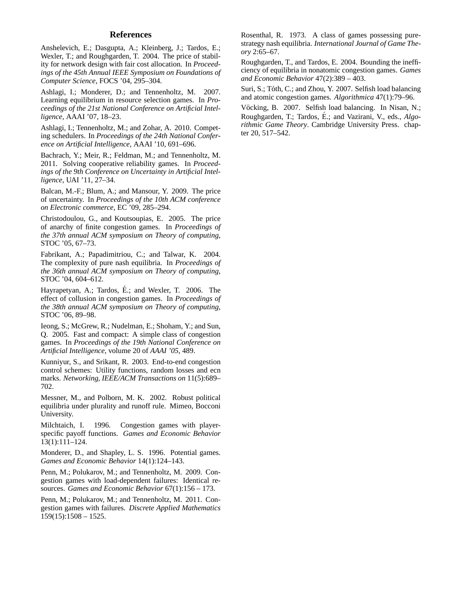## **References**

Anshelevich, E.; Dasgupta, A.; Kleinberg, J.; Tardos, E.; Wexler, T.; and Roughgarden, T. 2004. The price of stability for network design with fair cost allocation. In *Proceedings of the 45th Annual IEEE Symposium on Foundations of Computer Science*, FOCS '04, 295–304.

Ashlagi, I.; Monderer, D.; and Tennenholtz, M. 2007. Learning equilibrium in resource selection games. In *Proceedings of the 21st National Conference on Artificial Intelligence*, AAAI '07, 18–23.

Ashlagi, I.; Tennenholtz, M.; and Zohar, A. 2010. Competing schedulers. In *Proceedings of the 24th National Conference on Artificial Intelligence*, AAAI '10, 691–696.

Bachrach, Y.; Meir, R.; Feldman, M.; and Tennenholtz, M. 2011. Solving cooperative reliability games. In *Proceedings of the 9th Conference on Uncertainty in Artificial Intelligence*, UAI '11, 27–34.

Balcan, M.-F.; Blum, A.; and Mansour, Y. 2009. The price of uncertainty. In *Proceedings of the 10th ACM conference on Electronic commerce*, EC '09, 285–294.

Christodoulou, G., and Koutsoupias, E. 2005. The price of anarchy of finite congestion games. In *Proceedings of the 37th annual ACM symposium on Theory of computing*, STOC '05, 67–73.

Fabrikant, A.; Papadimitriou, C.; and Talwar, K. 2004. The complexity of pure nash equilibria. In *Proceedings of the 36th annual ACM symposium on Theory of computing*, STOC '04, 604–612.

Hayrapetyan, A.; Tardos, É.; and Wexler, T.  $2006$ . The effect of collusion in congestion games. In *Proceedings of the 38th annual ACM symposium on Theory of computing*, STOC '06, 89–98.

Ieong, S.; McGrew, R.; Nudelman, E.; Shoham, Y.; and Sun, Q. 2005. Fast and compact: A simple class of congestion games. In *Proceedings of the 19th National Conference on Artificial Intelligence*, volume 20 of *AAAI '05*, 489.

Kunniyur, S., and Srikant, R. 2003. End-to-end congestion control schemes: Utility functions, random losses and ecn marks. *Networking, IEEE/ACM Transactions on* 11(5):689– 702.

Messner, M., and Polborn, M. K. 2002. Robust political equilibria under plurality and runoff rule. Mimeo, Bocconi University.

Milchtaich, I. 1996. Congestion games with playerspecific payoff functions. *Games and Economic Behavior* 13(1):111–124.

Monderer, D., and Shapley, L. S. 1996. Potential games. *Games and Economic Behavior* 14(1):124–143.

Penn, M.; Polukarov, M.; and Tennenholtz, M. 2009. Congestion games with load-dependent failures: Identical resources. *Games and Economic Behavior* 67(1):156 – 173.

Penn, M.; Polukarov, M.; and Tennenholtz, M. 2011. Congestion games with failures. *Discrete Applied Mathematics*  $159(15):1508 - 1525.$ 

Rosenthal, R. 1973. A class of games possessing purestrategy nash equilibria. *International Journal of Game Theory* 2:65–67.

Roughgarden, T., and Tardos, E. 2004. Bounding the inefficiency of equilibria in nonatomic congestion games. *Games and Economic Behavior* 47(2):389 – 403.

Suri, S.; Tóth, C.; and Zhou, Y. 2007. Selfish load balancing and atomic congestion games. *Algorithmica* 47(1):79–96.

Vöcking, B. 2007. Selfish load balancing. In Nisan, N.; Roughgarden, T.; Tardos, É.; and Vazirani, V., eds., *Algorithmic Game Theory*. Cambridge University Press. chapter 20, 517–542.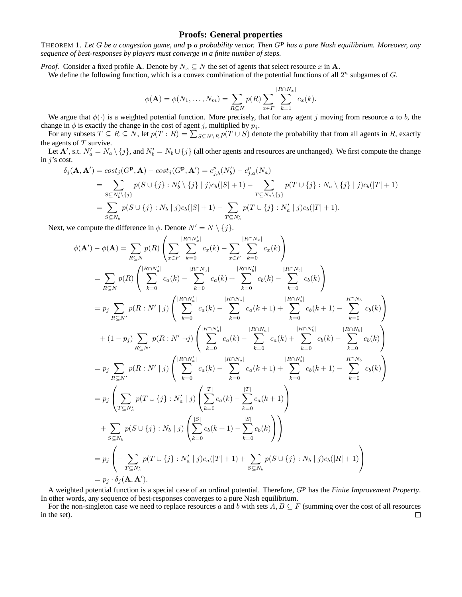## **Proofs: General properties**

THEOREM 1. *Let* G *be a congestion game, and* p *a probability vector. Then* G<sup>p</sup> *has a pure Nash equilibrium. Moreover, any sequence of best-responses by players must converge in a finite number of steps.*

*Proof.* Consider a fixed profile **A**. Denote by  $N_x \subseteq N$  the set of agents that select resource x in **A**.

We define the following function, which is a convex combination of the potential functions of all  $2^n$  subgames of  $G$ .

$$
\phi(\mathbf{A}) = \phi(N_1, ..., N_m) = \sum_{R \subseteq N} p(R) \sum_{x \in F} \sum_{k=1}^{|R \cap N_x|} c_x(k).
$$

We argue that  $\phi(\cdot)$  is a weighted potential function. More precisely, that for any agent j moving from resource a to b, the change in  $\phi$  is exactly the change in the cost of agent j, multiplied by  $p_j$ .

For any subsets  $T \subseteq R \subseteq \overline{N}$ , let  $p(T: R) = \sum_{S \subseteq N \setminus R} p(T \cup S)$  denote the probability that from all agents in R, exactly the agents of  $T$  survive.

Let  $\mathbf{A}'$ , s.t.  $N'_a = N_a \setminus \{j\}$ , and  $N'_b = N_b \cup \{j\}$  (all other agents and resources are unchanged). We first compute the change in  $j$ 's cost.

$$
\delta_j(\mathbf{A}, \mathbf{A}') = cost_j(G^{\mathbf{p}}, \mathbf{A}) - cost_j(G^{\mathbf{p}}, \mathbf{A}') = c_{j,b}^p(N'_b) - c_{j,a}^p(N_a)
$$
  
= 
$$
\sum_{S \subseteq N'_b \setminus \{j\}} p(S \cup \{j\} : N'_b \setminus \{j\} | j)c_b(|S| + 1) - \sum_{T \subseteq N_a \setminus \{j\}} p(T \cup \{j\} : N_a \setminus \{j\} | j)c_b(|T| + 1)
$$
  
= 
$$
\sum_{S \subseteq N_b} p(S \cup \{j\} : N_b | j)c_b(|S| + 1) - \sum_{T \subseteq N'_a} p(T \cup \{j\} : N'_a | j)c_b(|T| + 1).
$$

Next, we compute the difference in  $\phi$ . Denote  $N' = N \setminus \{j\}$ .

$$
\phi(\mathbf{A}') - \phi(\mathbf{A}) = \sum_{R \subseteq N} p(R) \left( \sum_{x \in F} \sum_{k=0}^{|R \cap N_x'|} c_x(k) - \sum_{x \in F} \sum_{k=0}^{|R \cap N_x'|} c_x(k) \right)
$$
\n
$$
= \sum_{R \subseteq N} p(R) \left( \sum_{k=0}^{|R \cap N_x'|} c_a(k) - \sum_{k=0}^{|R \cap N_x'|} c_a(k) + \sum_{k=0}^{|R \cap N_y'|} c_b(k) - \sum_{k=0}^{|R \cap N_y'|} c_b(k) \right)
$$
\n
$$
= p_j \sum_{R \subseteq N'} p(R: N' | j) \left( \sum_{k=0}^{|R \cap N_x'|} c_a(k) - \sum_{k=0}^{|R \cap N_x|} c_a(k+1) + \sum_{k=0}^{|R \cap N_y'|} c_b(k+1) - \sum_{k=0}^{|R \cap N_y|} c_b(k) \right)
$$
\n
$$
+ (1 - p_j) \sum_{R \subseteq N'} p(R: N' | \neg j) \left( \sum_{k=0}^{|R \cap N_x'|} c_a(k) - \sum_{k=0}^{|R \cap N_x|} c_a(k) + \sum_{k=0}^{|R \cap N_y'|} c_b(k) - \sum_{k=0}^{|R \cap N_y'|} c_b(k) \right)
$$
\n
$$
= p_j \sum_{R \subseteq N'} p(R: N' | j) \left( \sum_{k=0}^{|R \cap N_x'|} c_a(k) - \sum_{k=0}^{|R \cap N_x|} c_a(k+1) + \sum_{k=0}^{|R \cap N_y'|} c_b(k+1) - \sum_{k=0}^{|R \cap N_y|} c_b(k) \right)
$$
\n
$$
+ p_j \left( \sum_{T \subseteq N_x'} p(T \cup \{j\} : N'_a | j) \left( \sum_{k=0}^{|S|} c_a(k) - \sum_{k=0}^{|S|} c_a(k+1) \right) \right)
$$
\n
$$
= p_j \left( - \sum_{T \subseteq N_x'} p(T \cup \{j\} : N'_a | j) c_a(|T| + 1) + \sum_{S \subseteq N_b} p(S \cup \{j\} : N_b | j) c_b(|R| + 1) \right)
$$
\n
$$
= p_j \cdot \delta_j(\mathbf{A
$$

A weighted potential function is a special case of an ordinal potential. Therefore, GP has the *Finite Improvement Property*. In other words, any sequence of best-responses converges to a pure Nash equilibrium.

For the non-singleton case we need to replace resources a and b with sets  $A, B \subseteq F$  (summing over the cost of all resources in the set). $\Box$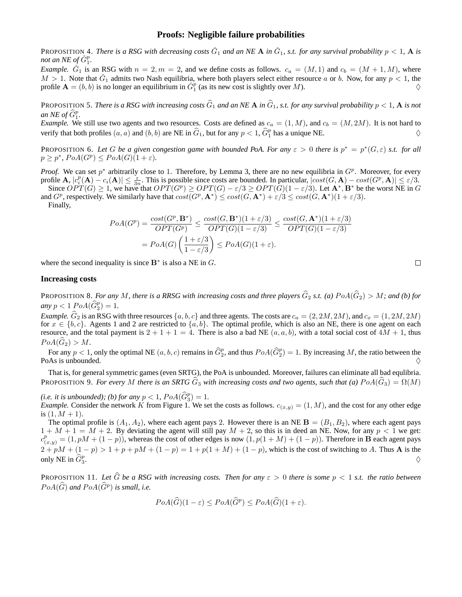## **Proofs: Negligible failure probabilities**

PROPOSITION 4. *There is a RSG with decreasing costs*  $\check{G}_1$  and an NE **A** in  $\check{G}_1$ , s.t. for any survival probability  $p < 1$ , **A** is *not an NE of*  $\check{G}_1^p$ .

*Example.*  $\check{G}_1$  is an RSG with  $n = 2, m = 2$ , and we define costs as follows.  $c_a = (M, 1)$  and  $c_b = (M + 1, M)$ , where  $M > 1$ . Note that  $\check{G}_1$  admits two Nash equilibria, where both players select either resource a or b. Now, for any  $p < 1$ , the profile  $\mathbf{A} = (b, b)$  is no longer an equilibrium in  $\check{G}_1^p$  (as its new cost is slightly over M).

PROPOSITION 5. *There is a RSG with increasing costs*  $\hat{G}_1$  *and an NE* **A** *in*  $\hat{G}_1$ *, s.t. for any survival probability*  $p < 1$ *,* **A** *is not an NE of*  $\widehat{G}_1^p$ .

*Example.* We still use two agents and two resources. Costs are defined as  $c_a = (1, M)$ , and  $c_b = (M, 2M)$ . It is not hard to verify that both profiles  $(a, a)$  and  $(b, b)$  are NE in  $\widehat{G}_1$ , but for any  $p < 1$ ,  $\widehat{G}_1^p$  has a unique NE.

**PROPOSITION 6.** Let G be a given congestion game with bounded PoA. For any  $\varepsilon > 0$  there is  $p^* = p^*(G, \varepsilon)$  s.t. for all  $p \geq p^*$ ,  $PoA(G^p) \leq PoA(G)(1+\varepsilon)$ .

*Proof.* We can set  $p^*$  arbitrarily close to 1. Therefore, by Lemma 3, there are no new equilibria in  $G^p$ . Moreover, for every profile  $\mathbf{A}, |c_i^p(\mathbf{A}) - c_i(\mathbf{A})| \le \frac{\varepsilon}{3n}$ . This is possible since costs are bounded. In particular,  $|cost(G, \mathbf{A}) - cost(G^p, \mathbf{A})| \le \varepsilon/3$ . Since  $OPT(G) \geq 1$ , we have that  $OPT(G^p) \geq OPT(G) - \varepsilon/3 \geq OPT(G)(1 - \varepsilon/3)$ . Let  $\mathbf{A}^*, \mathbf{B}^*$  be the worst NE in G

and  $G^p$ , respectively. We similarly have that  $cost(G^p, \mathbf{A}^*) \leq cost(G, \mathbf{A}^*) + \varepsilon/3 \leq cost(G, \mathbf{A}^*)(1 + \varepsilon/3)$ . Finally,

$$
PoA(G^{p}) = \frac{cost(G^{p}, \mathbf{B}^{*})}{OPT(G^{p})} \le \frac{cost(G, \mathbf{B}^{*})(1+\varepsilon/3)}{OPT(G)(1-\varepsilon/3)} \le \frac{cost(G, \mathbf{A}^{*})(1+\varepsilon/3)}{OPT(G)(1-\varepsilon/3)}
$$

$$
= PoA(G)\left(\frac{1+\varepsilon/3}{1-\varepsilon/3}\right) \le PoA(G)(1+\varepsilon).
$$

where the second inequality is since  $\mathbf{B}^*$  is also a NE in G.

### **Increasing costs**

PROPOSITION 8. For any M, there is a RRSG with increasing costs and three players  $\widehat{G}_2$  s.t. (a)  $PoA(\widehat{G}_2) > M$ ; and (b) for  $\langle \textit{any} \rangle p < 1 \rangle PoA(\widehat{G}_2^p) = 1.$ 

*Example.*  $\hat{G}_2$  is an RSG with three resources  $\{a, b, c\}$  and three agents. The costs are  $c_a = (2, 2M, 2M)$ , and  $c_x = (1, 2M, 2M)$ for  $x \in \{b, c\}$ . Agents 1 and 2 are restricted to  $\{a, b\}$ . The optimal profile, which is also an NE, there is one agent on each resource, and the total payment is  $2 + 1 + 1 = 4$ . There is also a bad NE  $(a, a, b)$ , with a total social cost of  $4M + 1$ , thus  $PoA(G_2) > M$ .

For any  $p < 1$ , only the optimal NE  $(a, b, c)$  remains in  $\widehat{G}_2^p$ , and thus  $PoA(\widehat{G}_2^p) = 1$ . By increasing M, the ratio between the PoAs is unbounded.

That is, for general symmetric games (even SRTG), the PoA is unbounded. Moreover, failures can eliminate all bad equlibria. PROPOSITION 9. *For every* M there is an SRTG  $\hat{G}_3$  with increasing costs and two agents, such that (a)  $PoA(\hat{G}_3) = \Omega(M)$ 

*(i.e. it is unbounded); (b) for any*  $p < 1$ ,  $PoA(\widehat{G}_3^p) = 1$ .

*Example.* Consider the network K from Figure 1. We set the costs as follows.  $c_{(x,y)} = (1, M)$ , and the cost for any other edge is  $(1, M + 1)$ .

The optimal profile is  $(A_1, A_2)$ , where each agent pays 2. However there is an NE  $B = (B_1, B_2)$ , where each agent pays  $1 + M + 1 = M + 2$ . By deviating the agent will still pay  $M + 2$ , so this is in deed an NE. Now, for any  $p < 1$  we get:  $c_{(x,y)}^p = (1, pM + (1-p))$ , whereas the cost of other edges is now  $(1, p(1 + M) + (1-p))$ . Therefore in **B** each agent pays  $2 + pM + (1 - p) > 1 + p + pM + (1 - p) = 1 + p(1 + M) + (1 - p)$ , which is the cost of switching to A. Thus **A** is the only NE in  $\widehat{G}_3^p$ . And the contract of the contract of the contract of the contract of the contract of the contract of the contract of the contract of the contract of the contract of the contract of the contract of the contract of the con

PROPOSITION 11. Let  $\hat{G}$  be a RSG with increasing costs. Then for any  $\varepsilon > 0$  there is some  $p < 1$  s.t. the ratio between  $PoA(\widehat{G})$  and  $PoA(\widehat{G}^p)$  is small, i.e.

$$
PoA(\widehat{G})(1-\varepsilon) \le PoA(\widehat{G}^p) \le PoA(\widehat{G})(1+\varepsilon).
$$

 $\Box$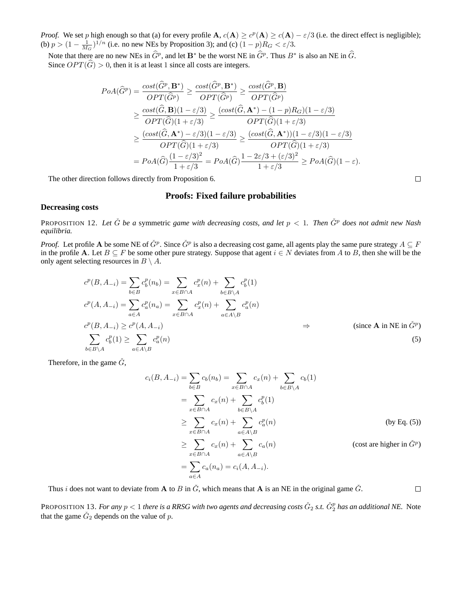*Proof.* We set p high enough so that (a) for every profile  $\mathbf{A}$ ,  $c(\mathbf{A}) \ge c^p(\mathbf{A}) \ge c(\mathbf{A}) - \varepsilon/3$  (i.e. the direct effect is negligible); (b)  $p > (1 - \frac{1}{M_G})^{1/n}$  (i.e. no new NEs by Proposition 3); and (c)  $(1 - p)R_G < \varepsilon/3$ .

Note that there are no new NEs in  $\widehat{G}^p$ , and let  $\mathbf{B}^*$  be the worst NE in  $\widehat{G}^p$ . Thus  $B^*$  is also an NE in  $\widehat{G}$ . Since  $OPT(\widehat{G}) > 0$ , then it is at least 1 since all costs are integers.

$$
PoA(\widehat{G}^{p}) = \frac{\cos t(\widehat{G}^{p}, \mathbf{B}^{*})}{OPT(\widehat{G}^{p})} \geq \frac{\cos t(\widehat{G}^{p}, \mathbf{B}^{*})}{OPT(\widehat{G}^{p})} \geq \frac{\cos t(\widehat{G}^{p}, \mathbf{B})}{OPT(\widehat{G}^{p})}
$$
  
\n
$$
\geq \frac{\cos t(\widehat{G}, \mathbf{B})(1-\varepsilon/3)}{OPT(\widehat{G})(1+\varepsilon/3)} \geq \frac{(\cos t(\widehat{G}, \mathbf{A}^{*}) - (1-p)R_{G})(1-\varepsilon/3)}{OPT(\widehat{G})(1+\varepsilon/3)}
$$
  
\n
$$
\geq \frac{(\cos t(\widehat{G}, \mathbf{A}^{*}) - \varepsilon/3)(1-\varepsilon/3)}{OPT(\widehat{G})(1+\varepsilon/3)} \geq \frac{(\cos t(\widehat{G}, \mathbf{A}^{*}))(1-\varepsilon/3)(1-\varepsilon/3)}{OPT(\widehat{G})(1+\varepsilon/3)}
$$
  
\n
$$
= PoA(\widehat{G})\frac{(1-\varepsilon/3)^{2}}{1+\varepsilon/3} = PoA(\widehat{G})\frac{1-2\varepsilon/3+(\varepsilon/3)^{2}}{1+\varepsilon/3} \geq PoA(\widehat{G})(1-\varepsilon).
$$

The other direction follows directly from Proposition 6.

## **Proofs: Fixed failure probabilities**

## **Decreasing costs**

PROPOSITION 12. Let  $\check{G}$  be a symmetric game with decreasing costs, and let  $p < 1$ . Then  $\check{G}^p$  does not admit new Nash *equilibria.*

*Proof.* Let profile **A** be some NE of  $\check{G}^p$ . Since  $\check{G}^p$  is also a decreasing cost game, all agents play the same pure strategy  $A \subseteq F$ in the profile A. Let  $B \subseteq F$  be some other pure strategy. Suppose that agent  $i \in N$  deviates from A to B, then she will be the only agent selecting resources in  $B \setminus A$ .

$$
c^{p}(B, A_{-i}) = \sum_{b \in B} c_{b}^{p}(n_{b}) = \sum_{x \in B \cap A} c_{x}^{p}(n) + \sum_{b \in B \setminus A} c_{b}^{p}(1)
$$
  
\n
$$
c^{p}(A, A_{-i}) = \sum_{a \in A} c_{a}^{p}(n_{a}) = \sum_{x \in B \cap A} c_{x}^{p}(n) + \sum_{a \in A \setminus B} c_{a}^{p}(n)
$$
  
\n
$$
c^{p}(B, A_{-i}) \ge c^{p}(A, A_{-i}) \ge c^{p}(A, A_{-i}) \ge \sum_{a \in A \setminus B} c_{a}^{p}(n)
$$
  
\n(since A in NE in  $\tilde{G}^{p}$ )  
\n(since A in NE in  $\tilde{G}^{p}$ )  
\n(since A in NE in  $\tilde{G}^{p}$ )

Therefore, in the game  $\check{G}$ ,

$$
c_i(B, A_{-i}) = \sum_{b \in B} c_b(n_b) = \sum_{x \in B \cap A} c_x(n) + \sum_{b \in B \setminus A} c_b(1)
$$
  
= 
$$
\sum_{x \in B \cap A} c_x(n) + \sum_{b \in B \setminus A} c_b^p(1)
$$
  

$$
\geq \sum_{x \in B \cap A} c_x(n) + \sum_{a \in A \setminus B} c_a^p(n)
$$
 (by Eq. (5))  

$$
\geq \sum_{x \in B \cap A} c_x(n) + \sum_{a \in A \setminus B} c_a(n)
$$
 (cost are higher in  $\check{G}^p$ )  
= 
$$
\sum_{a \in A} c_a(n_a) = c_i(A, A_{-i}).
$$

Thus i does not want to deviate from A to B in  $\check{G}$ , which means that A is an NE in the original game  $\check{G}$ .

PROPOSITION 13. *For any*  $p < 1$  there is a RRSG with two agents and decreasing costs  $\check{G}_2$  s.t.  $\check{G}_2^p$  has an additional NE. Note that the game  $\check{G}_2$  depends on the value of p.

 $\Box$ 

 $\Box$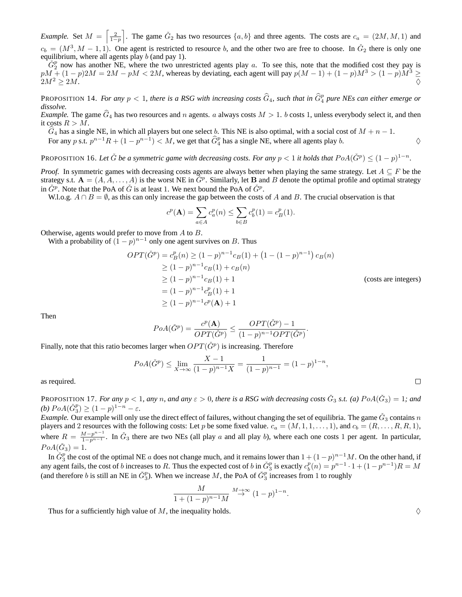*Example.* Set  $M = \left\lceil \frac{2}{1-p} \right\rceil$ . The game  $\check{G}_2$  has two resources  $\{a, b\}$  and three agents. The costs are  $c_a = (2M, M, 1)$  and  $c_b = (M^3, M - 1, 1)$ . One agent is restricted to resource b, and the other two are free to choose. In  $\check{G}_2$  there is only one equilibrium, where all agents play  $b$  (and pay 1).

 $\check{G}_2^p$  now has another NE, where the two unrestricted agents play a. To see this, note that the modified cost they pay is  $pM + (1-p)2M = 2M - pM < 2M$ , whereas by deviating, each agent will pay  $p(M-1) + (1-p)M^3 > (1-p)M^3 \ge$  $2M^2 \ge 2M$ .

PROPOSITION 14. *For any*  $p < 1$ , there is a RSG with increasing costs  $\widehat{G}_4$ , such that in  $\widehat{G}_4^p$  pure NEs can either emerge or *dissolve.*

*Example.* The game  $\hat{G}_4$  has two resources and n agents. a always costs  $M > 1$ . b costs 1, unless everybody select it, and then it costs  $R > M$ .

 $\widehat{G}_4$  has a single NE, in which all players but one select b. This NE is also optimal, with a social cost of  $M + n - 1$ .

For any p s.t.  $p^{n-1}R + (1 - p^{n-1}) < M$ , we get that  $\widehat{G}_4^p$  has a single NE, where all agents play b.  $\diamond$ 

PROPOSITION 16. Let  $\check{G}$  be a symmetric game with decreasing costs. For any  $p < 1$  it holds that  $PoA(\check{G}^p) \leq (1-p)^{1-n}$ .

*Proof.* In symmetric games with decreasing costs agents are always better when playing the same strategy. Let  $A \subseteq F$  be the strategy s.t.  $A = (A, A, \ldots, A)$  is the worst NE in  $\tilde{G}^p$ . Similarly, let B and B denote the optimal profile and optimal strategy in  $\check{G}^p$ . Note that the PoA of  $\check{G}$  is at least 1. We next bound the PoA of  $\check{G}^p$ .

W.l.o.g.  $A \cap B = \emptyset$ , as this can only increase the gap between the costs of A and B. The crucial observation is that

$$
c^{p}(\mathbf{A}) = \sum_{a \in A} c_{a}^{p}(n) \le \sum_{b \in B} c_{b}^{p}(1) = c_{B}^{p}(1).
$$

Otherwise, agents would prefer to move from A to B.

With a probability of  $(1-p)^{n-1}$  only one agent survives on B. Thus

$$
OPT(\check{G}^p) = c_B^p(n) \ge (1 - p)^{n-1} c_B(1) + (1 - (1 - p)^{n-1}) c_B(n)
$$
  
\n
$$
\ge (1 - p)^{n-1} c_B(1) + c_B(n)
$$
  
\n
$$
\ge (1 - p)^{n-1} c_B(1) + 1
$$
  
\n
$$
= (1 - p)^{n-1} c_B^p(1) + 1
$$
  
\n
$$
\ge (1 - p)^{n-1} c^p(\mathbf{A}) + 1
$$

Then

$$
PoA(\check{G}^p) = \frac{c^p(\mathbf{A})}{OPT(\check{G}^p)} \le \frac{OPT(\check{G}^p) - 1}{(1 - p)^{n-1}OPT(\check{G}^p)}.
$$

Finally, note that this ratio becomes larger when  $OPT(\check{G}^p)$  is increasing. Therefore

$$
PoA(\check{G}^p) \le \lim_{X \to \infty} \frac{X - 1}{(1 - p)^{n - 1} X} = \frac{1}{(1 - p)^{n - 1}} = (1 - p)^{1 - n},
$$

as required.

PROPOSITION 17. *For any*  $p < 1$ , any n, and any  $\varepsilon > 0$ , there is a RSG with decreasing costs  $\check{G}_3$  s.t. (a)  $PoA(\check{G}_3) = 1$ ; and *(b)*  $PoA(\check{G}_3^p) \ge (1-p)^{1-n} - \varepsilon$ *.* 

*Example*. Our example will only use the direct effect of failures, without changing the set of equilibria. The game  $\check{G}_3$  contains n players and 2 resources with the following costs: Let p be some fixed value.  $c_a = (M, 1, 1, \ldots, 1)$ , and  $c_b = (R, \ldots, R, R, 1)$ , where  $R = \frac{M-p^{n-1}}{1-p^{n-1}}$ . In  $\check{G}_3$  there are two NEs (all play a and all play b), where each one costs 1 per agent. In particular,  $PoA(\check{G}_3) = 1.$ 

In  $\check{G}_3^p$  the cost of the optimal NE a does not change much, and it remains lower than  $1 + (1-p)^{n-1}M$ . On the other hand, if any agent fails, the cost of b increases to R. Thus the expected cost of b in  $\check{G}_3^p$  is exactly  $c_b^p(n) = p^{n-1} \cdot 1 + (1 - p^{n-1})R = M$ (and therefore b is still an NE in  $\check{G}_3^p$ ). When we increase M, the PoA of  $\check{G}_3^p$  increases from 1 to roughly

$$
\frac{M}{1 + (1 - p)^{n-1}M} \stackrel{M \to \infty}{\to} (1 - p)^{1 - n}
$$

.

Thus for a sufficiently high value of M, the inequality holds.  $\Diamond$ 

 $\Box$ 

(costs are integers)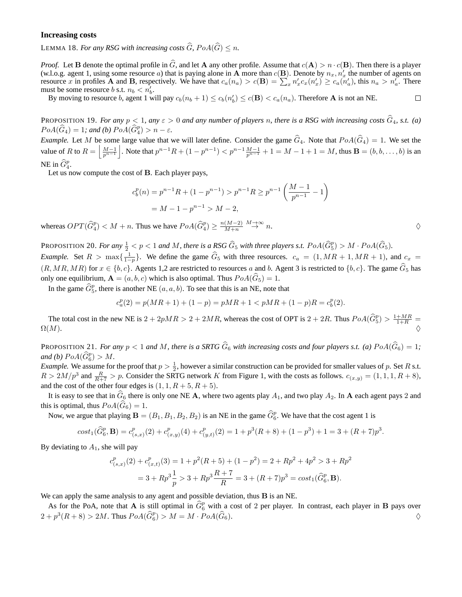### **Increasing costs**

LEMMA 18. *For any RSG with increasing costs*  $\widehat{G}$ *, PoA(* $\widehat{G}$ *)*  $\leq n$ *.* 

*Proof.* Let **B** denote the optimal profile in  $\hat{G}$ , and let **A** any other profile. Assume that  $c(A) > n \cdot c(B)$ . Then there is a player (w.l.o.g. agent 1, using some resource a) that is paying alone in A more than  $c(\mathbf{B})$ . Denote by  $n_x, n'_x$  the number of agents on resource x in profiles **A** and **B**, respectively. We have that  $c_a(n_a) > c(\mathbf{B}) = \sum_x n'_x c_x(n'_x) \ge c_a(n'_a)$ , this  $n_a > n'_a$ . There must be some resource b s.t.  $n_b < n'_b$ .

By moving to resource b, agent 1 will pay  $c_b(n_b + 1) \le c_b(n'_b) \le c(\mathbf{B}) < c_a(n_a)$ . Therefore **A** is not an NE.

PROPOSITION 19. *For any*  $p < 1$ , any  $\varepsilon > 0$  and any number of players n, there is a RSG with increasing costs  $\hat{G}_4$ , s.t. (a)  $PoA(\widehat{G}_4) = 1$ ; and (b)  $PoA(\widehat{G}_4^p) > n - \varepsilon$ .

*Example.* Let M be some large value that we will later define. Consider the game  $\hat{G}_4$ . Note that  $PoA(\hat{G}_4) = 1$ . We set the value of R to  $R = \left| \frac{M-1}{p^{n-1}} \right|$ . Note that  $p^{n-1}R + (1-p^{n-1}) < p^{n-1}\frac{M-1}{p^{n-1}} + 1 = M-1+1 = M$ , thus **B** = (*b*, *b*, . . . , *b*) is an NE in  $\widehat{G}_4^p$ .

Let us now compute the cost of B. Each player pays,

$$
c_b^p(n) = p^{n-1}R + (1 - p^{n-1}) > p^{n-1}R \ge p^{n-1} \left(\frac{M-1}{p^{n-1}} - 1\right)
$$
  
= M - 1 - p^{n-1} > M - 2,

whereas  $OPT(\widehat{G}_4^p) < M + n$ . Thus we have  $PoA(\widehat{G}_4^p) \ge \frac{n(M-2)}{M+n}$  $\frac{(M-2)}{M+n} \stackrel{M\to\infty}{\to} n.$ 

PROPOSITION 20. *For any*  $\frac{1}{2} < p < 1$  *and M, there is a RSG*  $\widehat{G}_5$  *with three players s.t.*  $PoA(\widehat{G}_5^p) > M \cdot PoA(\widehat{G}_5)$ *. Example.* Set  $R > \max\{\frac{1}{1-p}\}$ . We define the game  $\hat{G}_5$  with three resources.  $c_a = (1, MR + 1, MR + 1)$ , and  $c_x =$  $(R, MR, MR)$  for  $x \in \{b, c\}$ . Agents 1,2 are restricted to resources a and b. Agent 3 is restricted to  $\{b, c\}$ . The game  $\widehat{G}_5$  has only one equilibrium,  $\mathbf{A} = (a, b, c)$  which is also optimal. Thus  $PoA(\widehat{G}_5) = 1$ .

In the game  $\widehat{G}_5^p$ , there is another NE  $(a, a, b)$ . To see that this is an NE, note that

$$
c_a^p(2) = p(MR + 1) + (1 - p) = pMR + 1 < pMR + (1 - p)R = c_b^p(2).
$$

The total cost in the new NE is  $2 + 2pMR > 2 + 2MR$ , whereas the cost of OPT is  $2 + 2R$ . Thus  $PoA(\widehat{G}_5^p) > \frac{1+MR}{1+R}$  $\Omega(M).$ 

PROPOSITION 21. *For any*  $p < 1$  *and* M, there is a SRTG  $\hat{G}_6$  with increasing costs and four players s.t. (a)  $PoA(\hat{G}_6) = 1$ ; and (b)  $PoA(\widehat{G}_6^p) > M$ .

*Example.* We assume for the proof that  $p > \frac{1}{2}$ , however a similar construction can be provided for smaller values of p. Set R s.t.  $R > 2M/p^3$  and  $\frac{R}{R+7} > p$ . Consider the SRTG network K from Figure 1, with the costs as follows.  $c_{(x,y)} = (1, 1, 1, R+8)$ , and the cost of the other four edges is  $(1, 1, R+5, R+5)$ .

It is easy to see that in  $\hat{G}_6$  there is only one NE A, where two agents play  $A_1$ , and two play  $A_2$ . In A each agent pays 2 and this is optimal, thus  $PoA(\tilde{G}_6) = 1$ .

Now, we argue that playing  $B = (B_1, B_1, B_2, B_2)$  is an NE in the game  $\widehat{G}_6^p$ . We have that the cost agent 1 is

$$
cost_1(\widehat{G}_6^p, \mathbf{B}) = c_{(s,x)}^p(2) + c_{(x,y)}^p(4) + c_{(y,t)}^p(2) = 1 + p^3(R+8) + (1-p^3) + 1 = 3 + (R+7)p^3.
$$

By deviating to  $A_1$ , she will pay

$$
c_{(s,x)}^p(2) + c_{(x,t)}^p(3) = 1 + p^2(R+5) + (1-p^2) = 2 + Rp^2 + 4p^2 > 3 + Rp^2
$$
  
= 3 + Rp<sup>3</sup> $\frac{1}{p}$  > 3 + Rp<sup>3</sup> $\frac{R+7}{R}$  = 3 + (R+7)p<sup>3</sup> = cost<sub>1</sub>( $\widehat{G}_6^p$ , **B**).

We can apply the same analysis to any agent and possible deviation, thus **B** is an NE.

As for the PoA, note that A is still optimal in  $\hat{G}_6^p$  with a cost of 2 per player. In contrast, each player in B pays over  $2 + p^3(R+8) > 2M$ . Thus  $PoA(\widehat{G}_6^p) > M = M \cdot PoA(\widehat{G}_6)$ .

 $\Box$